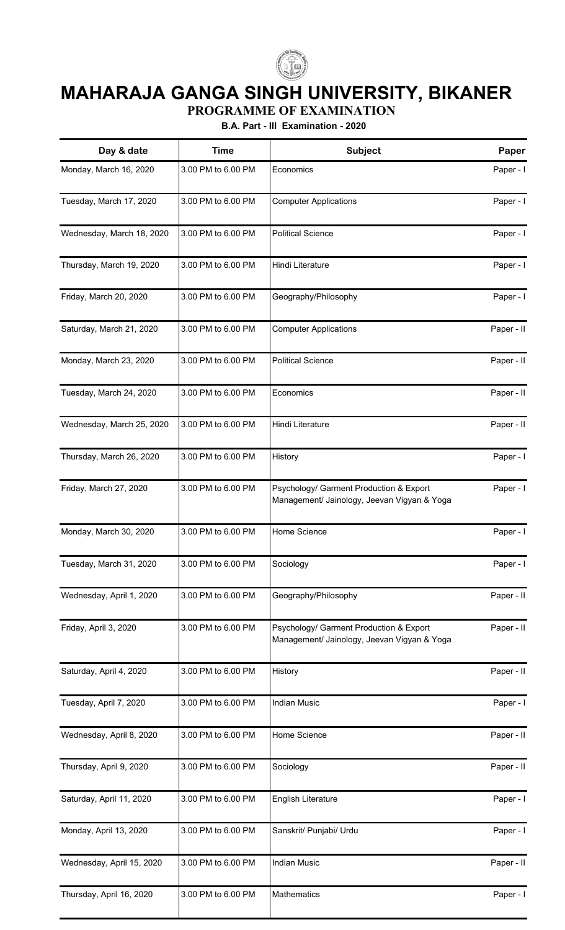

## **MAHARAJA GANGA SINGH UNIVERSITY, BIKANER**

**PROGRAMME OF EXAMINATION**

**B.A. Part - III Examination - 2020**

| Day & date                | <b>Time</b>        | Subject                                                                                | Paper      |
|---------------------------|--------------------|----------------------------------------------------------------------------------------|------------|
| Monday, March 16, 2020    | 3.00 PM to 6.00 PM | Economics                                                                              | Paper - I  |
| Tuesday, March 17, 2020   | 3.00 PM to 6.00 PM | <b>Computer Applications</b>                                                           | Paper - I  |
| Wednesday, March 18, 2020 | 3.00 PM to 6.00 PM | <b>Political Science</b>                                                               | Paper - I  |
| Thursday, March 19, 2020  | 3.00 PM to 6.00 PM | Hindi Literature                                                                       | Paper - I  |
| Friday, March 20, 2020    | 3.00 PM to 6.00 PM | Geography/Philosophy                                                                   | Paper - I  |
| Saturday, March 21, 2020  | 3.00 PM to 6.00 PM | <b>Computer Applications</b>                                                           | Paper - II |
| Monday, March 23, 2020    | 3.00 PM to 6.00 PM | <b>Political Science</b>                                                               | Paper - II |
| Tuesday, March 24, 2020   | 3.00 PM to 6.00 PM | Economics                                                                              | Paper - II |
| Wednesday, March 25, 2020 | 3.00 PM to 6.00 PM | Hindi Literature                                                                       | Paper - II |
| Thursday, March 26, 2020  | 3.00 PM to 6.00 PM | History                                                                                | Paper - I  |
| Friday, March 27, 2020    | 3.00 PM to 6.00 PM | Psychology/ Garment Production & Export<br>Management/ Jainology, Jeevan Vigyan & Yoga | Paper - I  |
| Monday, March 30, 2020    | 3.00 PM to 6.00 PM | Home Science                                                                           | Paper - I  |
| Tuesday, March 31, 2020   | 3.00 PM to 6.00 PM | Sociology                                                                              | Paper - I  |
| Wednesday, April 1, 2020  | 3.00 PM to 6.00 PM | Geography/Philosophy                                                                   | Paper - II |
| Friday, April 3, 2020     | 3.00 PM to 6.00 PM | Psychology/ Garment Production & Export<br>Management/ Jainology, Jeevan Vigyan & Yoga | Paper - II |
| Saturday, April 4, 2020   | 3.00 PM to 6.00 PM | History                                                                                | Paper - II |
| Tuesday, April 7, 2020    | 3.00 PM to 6.00 PM | <b>Indian Music</b>                                                                    | Paper - I  |
| Wednesday, April 8, 2020  | 3.00 PM to 6.00 PM | Home Science                                                                           | Paper - II |
| Thursday, April 9, 2020   | 3.00 PM to 6.00 PM | Sociology                                                                              | Paper - II |
| Saturday, April 11, 2020  | 3.00 PM to 6.00 PM | English Literature                                                                     | Paper - I  |
| Monday, April 13, 2020    | 3.00 PM to 6.00 PM | Sanskrit/ Punjabi/ Urdu                                                                | Paper - I  |
| Wednesday, April 15, 2020 | 3.00 PM to 6.00 PM | <b>Indian Music</b>                                                                    | Paper - II |
| Thursday, April 16, 2020  | 3.00 PM to 6.00 PM | Mathematics                                                                            | Paper - I  |